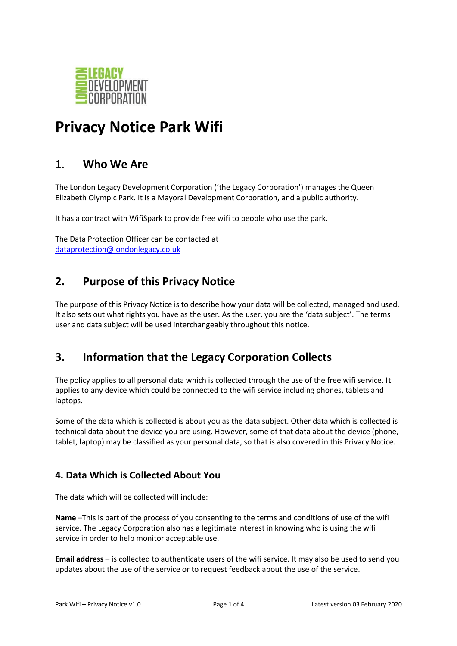

# **Privacy Notice Park Wifi**

### 1. **Who We Are**

The London Legacy Development Corporation ('the Legacy Corporation') manages the Queen Elizabeth Olympic Park. It is a Mayoral Development Corporation, and a public authority.

It has a contract with WifiSpark to provide free wifi to people who use the park.

The Data Protection Officer can be contacted at [dataprotection@londonlegacy.co.uk](mailto:dataprotection@londonlegacy.co.uk)

### **2. Purpose of this Privacy Notice**

The purpose of this Privacy Notice is to describe how your data will be collected, managed and used. It also sets out what rights you have as the user. As the user, you are the 'data subject'. The terms user and data subject will be used interchangeably throughout this notice.

# **3. Information that the Legacy Corporation Collects**

The policy applies to all personal data which is collected through the use of the free wifi service. It applies to any device which could be connected to the wifi service including phones, tablets and laptops.

Some of the data which is collected is about you as the data subject. Other data which is collected is technical data about the device you are using. However, some of that data about the device (phone, tablet, laptop) may be classified as your personal data, so that is also covered in this Privacy Notice.

#### **4. Data Which is Collected About You**

The data which will be collected will include:

**Name** –This is part of the process of you consenting to the terms and conditions of use of the wifi service. The Legacy Corporation also has a legitimate interest in knowing who is using the wifi service in order to help monitor acceptable use.

**Email address** – is collected to authenticate users of the wifi service. It may also be used to send you updates about the use of the service or to request feedback about the use of the service.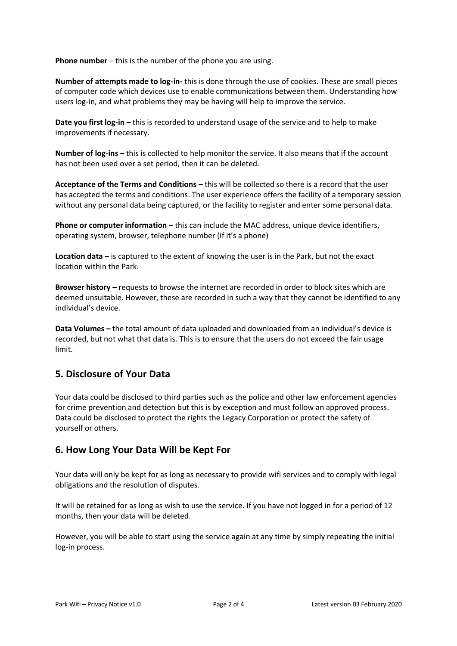**Phone number** – this is the number of the phone you are using.

**Number of attempts made to log-in-** this is done through the use of cookies. These are small pieces of computer code which devices use to enable communications between them. Understanding how users log-in, and what problems they may be having will help to improve the service.

**Date you first log-in –** this is recorded to understand usage of the service and to help to make improvements if necessary.

**Number of log-ins –** this is collected to help monitor the service. It also means that if the account has not been used over a set period, then it can be deleted.

**Acceptance of the Terms and Conditions** – this will be collected so there is a record that the user has accepted the terms and conditions. The user experience offers the facility of a temporary session without any personal data being captured, or the facility to register and enter some personal data.

**Phone or computer information – this can include the MAC address, unique device identifiers,** operating system, browser, telephone number (if it's a phone)

**Location data –** is captured to the extent of knowing the user is in the Park, but not the exact location within the Park.

**Browser history –** requests to browse the internet are recorded in order to block sites which are deemed unsuitable. However, these are recorded in such a way that they cannot be identified to any individual's device.

**Data Volumes –** the total amount of data uploaded and downloaded from an individual's device is recorded, but not what that data is. This is to ensure that the users do not exceed the fair usage limit.

#### **5. Disclosure of Your Data**

Your data could be disclosed to third parties such as the police and other law enforcement agencies for crime prevention and detection but this is by exception and must follow an approved process. Data could be disclosed to protect the rights the Legacy Corporation or protect the safety of yourself or others.

#### **6. How Long Your Data Will be Kept For**

Your data will only be kept for as long as necessary to provide wifi services and to comply with legal obligations and the resolution of disputes.

It will be retained for as long as wish to use the service. If you have not logged in for a period of 12 months, then your data will be deleted.

However, you will be able to start using the service again at any time by simply repeating the initial log-in process.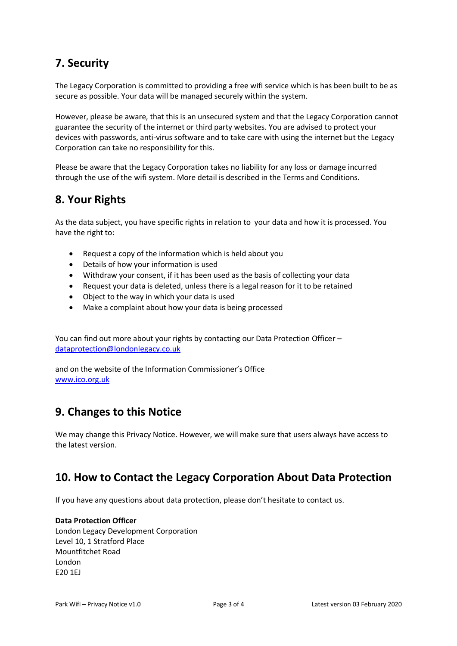### **7. Security**

The Legacy Corporation is committed to providing a free wifi service which is has been built to be as secure as possible. Your data will be managed securely within the system.

However, please be aware, that this is an unsecured system and that the Legacy Corporation cannot guarantee the security of the internet or third party websites. You are advised to protect your devices with passwords, anti-virus software and to take care with using the internet but the Legacy Corporation can take no responsibility for this.

Please be aware that the Legacy Corporation takes no liability for any loss or damage incurred through the use of the wifi system. More detail is described in the Terms and Conditions.

# **8. Your Rights**

As the data subject, you have specific rights in relation to your data and how it is processed. You have the right to:

- Request a copy of the information which is held about you
- Details of how your information is used
- Withdraw your consent, if it has been used as the basis of collecting your data
- Request your data is deleted, unless there is a legal reason for it to be retained
- Object to the way in which your data is used
- Make a complaint about how your data is being processed

You can find out more about your rights by contacting our Data Protection Officer – [dataprotection@londonlegacy.co.uk](mailto:dataprotection@londonlegacy.co.uk)

and on the website of the Information Commissioner's Office [www.ico.org.uk](http://www.ico.org.uk/)

### **9. Changes to this Notice**

We may change this Privacy Notice. However, we will make sure that users always have access to the latest version.

# **10. How to Contact the Legacy Corporation About Data Protection**

If you have any questions about data protection, please don't hesitate to contact us.

#### **Data Protection Officer**

London Legacy Development Corporation Level 10, 1 Stratford Place Mountfitchet Road London E20 1EJ